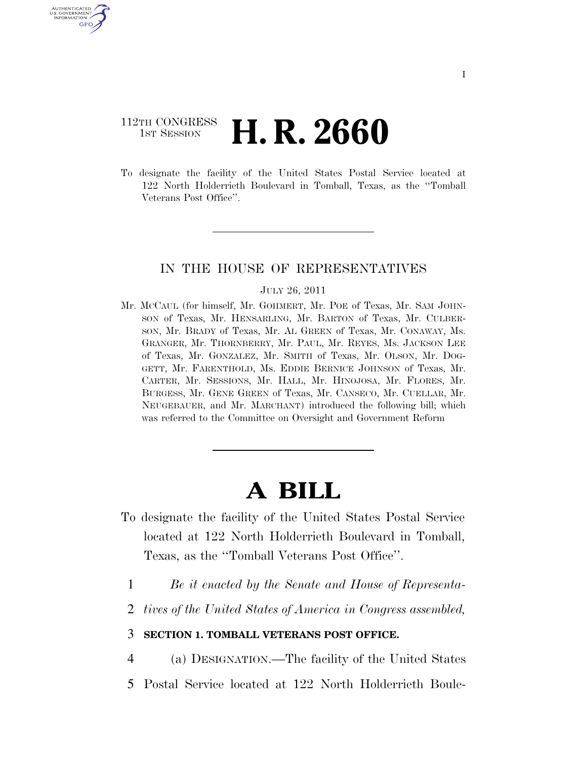## 112TH CONGRESS **1st Session H. R. 2660**

U.S. GOVERNMENT GPO

> To designate the facility of the United States Postal Service located at 122 North Holderrieth Boulevard in Tomball, Texas, as the ''Tomball Veterans Post Office''.

## IN THE HOUSE OF REPRESENTATIVES

## JULY 26, 2011

Mr. MCCAUL (for himself, Mr. GOHMERT, Mr. POE of Texas, Mr. SAM JOHN-SON of Texas, Mr. HENSARLING, Mr. BARTON of Texas, Mr. CULBER-SON, Mr. BRADY of Texas, Mr. AL GREEN of Texas, Mr. CONAWAY, Ms. GRANGER, Mr. THORNBERRY, Mr. PAUL, Mr. REYES, Ms. JACKSON LEE of Texas, Mr. GONZALEZ, Mr. SMITH of Texas, Mr. OLSON, Mr. DOG-GETT, Mr. FARENTHOLD, Ms. EDDIE BERNICE JOHNSON of Texas, Mr. CARTER, Mr. SESSIONS, Mr. HALL, Mr. HINOJOSA, Mr. FLORES, Mr. BURGESS, Mr. GENE GREEN of Texas, Mr. CANSECO, Mr. CUELLAR, Mr. NEUGEBAUER, and Mr. MARCHANT) introduced the following bill; which was referred to the Committee on Oversight and Government Reform

## **A BILL**

- To designate the facility of the United States Postal Service located at 122 North Holderrieth Boulevard in Tomball, Texas, as the ''Tomball Veterans Post Office''.
	- 1 *Be it enacted by the Senate and House of Representa-*
	- 2 *tives of the United States of America in Congress assembled,*
	- 3 **SECTION 1. TOMBALL VETERANS POST OFFICE.**

4 (a) DESIGNATION.—The facility of the United States

5 Postal Service located at 122 North Holderrieth Boule-